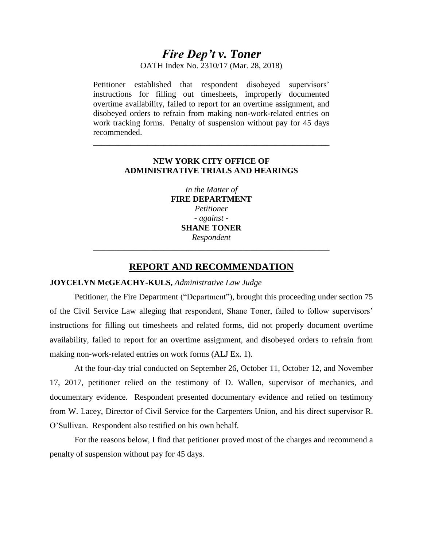# *Fire Dep't v. Toner*

OATH Index No. 2310/17 (Mar. 28, 2018)

Petitioner established that respondent disobeyed supervisors' instructions for filling out timesheets, improperly documented overtime availability, failed to report for an overtime assignment, and disobeyed orders to refrain from making non-work-related entries on work tracking forms. Penalty of suspension without pay for 45 days recommended.

# **NEW YORK CITY OFFICE OF ADMINISTRATIVE TRIALS AND HEARINGS**

**\_\_\_\_\_\_\_\_\_\_\_\_\_\_\_\_\_\_\_\_\_\_\_\_\_\_\_\_\_\_\_\_\_\_\_\_\_\_\_\_\_\_\_\_\_\_\_\_\_\_\_\_\_\_\_\_\_**

*In the Matter of* **FIRE DEPARTMENT**  *Petitioner - against* - **SHANE TONER** *Respondent* \_\_\_\_\_\_\_\_\_\_\_\_\_\_\_\_\_\_\_\_\_\_\_\_\_\_\_\_\_\_\_\_\_\_\_\_\_\_\_\_\_\_\_\_\_\_\_\_\_\_\_\_\_\_\_\_\_

# **REPORT AND RECOMMENDATION**

# **JOYCELYN McGEACHY-KULS,** *Administrative Law Judge*

Petitioner, the Fire Department ("Department"), brought this proceeding under section 75 of the Civil Service Law alleging that respondent, Shane Toner, failed to follow supervisors' instructions for filling out timesheets and related forms, did not properly document overtime availability, failed to report for an overtime assignment, and disobeyed orders to refrain from making non-work-related entries on work forms (ALJ Ex. 1).

At the four-day trial conducted on September 26, October 11, October 12, and November 17, 2017, petitioner relied on the testimony of D. Wallen, supervisor of mechanics, and documentary evidence. Respondent presented documentary evidence and relied on testimony from W. Lacey, Director of Civil Service for the Carpenters Union, and his direct supervisor R. O'Sullivan. Respondent also testified on his own behalf.

For the reasons below, I find that petitioner proved most of the charges and recommend a penalty of suspension without pay for 45 days.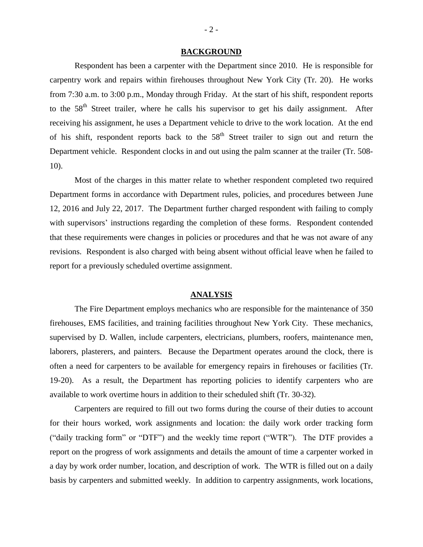#### **BACKGROUND**

Respondent has been a carpenter with the Department since 2010. He is responsible for carpentry work and repairs within firehouses throughout New York City (Tr. 20). He works from 7:30 a.m. to 3:00 p.m., Monday through Friday. At the start of his shift, respondent reports to the 58<sup>th</sup> Street trailer, where he calls his supervisor to get his daily assignment. After receiving his assignment, he uses a Department vehicle to drive to the work location. At the end of his shift, respondent reports back to the  $58<sup>th</sup>$  Street trailer to sign out and return the Department vehicle. Respondent clocks in and out using the palm scanner at the trailer (Tr. 508- 10).

Most of the charges in this matter relate to whether respondent completed two required Department forms in accordance with Department rules, policies, and procedures between June 12, 2016 and July 22, 2017. The Department further charged respondent with failing to comply with supervisors' instructions regarding the completion of these forms. Respondent contended that these requirements were changes in policies or procedures and that he was not aware of any revisions. Respondent is also charged with being absent without official leave when he failed to report for a previously scheduled overtime assignment.

## **ANALYSIS**

The Fire Department employs mechanics who are responsible for the maintenance of 350 firehouses, EMS facilities, and training facilities throughout New York City. These mechanics, supervised by D. Wallen, include carpenters, electricians, plumbers, roofers, maintenance men, laborers, plasterers, and painters. Because the Department operates around the clock, there is often a need for carpenters to be available for emergency repairs in firehouses or facilities (Tr. 19-20). As a result, the Department has reporting policies to identify carpenters who are available to work overtime hours in addition to their scheduled shift (Tr. 30-32).

Carpenters are required to fill out two forms during the course of their duties to account for their hours worked, work assignments and location: the daily work order tracking form ("daily tracking form" or "DTF") and the weekly time report ("WTR"). The DTF provides a report on the progress of work assignments and details the amount of time a carpenter worked in a day by work order number, location, and description of work. The WTR is filled out on a daily basis by carpenters and submitted weekly. In addition to carpentry assignments, work locations,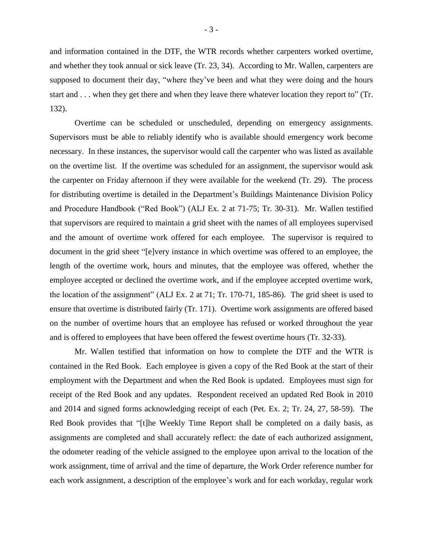and information contained in the DTF, the WTR records whether carpenters worked overtime, and whether they took annual or sick leave (Tr. 23, 34). According to Mr. Wallen, carpenters are supposed to document their day, "where they've been and what they were doing and the hours start and . . . when they get there and when they leave there whatever location they report to" (Tr. 132).

Overtime can be scheduled or unscheduled, depending on emergency assignments. Supervisors must be able to reliably identify who is available should emergency work become necessary. In these instances, the supervisor would call the carpenter who was listed as available on the overtime list. If the overtime was scheduled for an assignment, the supervisor would ask the carpenter on Friday afternoon if they were available for the weekend (Tr. 29). The process for distributing overtime is detailed in the Department's Buildings Maintenance Division Policy and Procedure Handbook ("Red Book") (ALJ Ex. 2 at 71-75; Tr. 30-31). Mr. Wallen testified that supervisors are required to maintain a grid sheet with the names of all employees supervised and the amount of overtime work offered for each employee. The supervisor is required to document in the grid sheet "[e]very instance in which overtime was offered to an employee, the length of the overtime work, hours and minutes, that the employee was offered, whether the employee accepted or declined the overtime work, and if the employee accepted overtime work, the location of the assignment" (ALJ Ex. 2 at 71; Tr. 170-71, 185-86). The grid sheet is used to ensure that overtime is distributed fairly (Tr. 171). Overtime work assignments are offered based on the number of overtime hours that an employee has refused or worked throughout the year and is offered to employees that have been offered the fewest overtime hours (Tr. 32-33).

Mr. Wallen testified that information on how to complete the DTF and the WTR is contained in the Red Book. Each employee is given a copy of the Red Book at the start of their employment with the Department and when the Red Book is updated. Employees must sign for receipt of the Red Book and any updates. Respondent received an updated Red Book in 2010 and 2014 and signed forms acknowledging receipt of each (Pet. Ex. 2; Tr. 24, 27, 58-59). The Red Book provides that "[t]he Weekly Time Report shall be completed on a daily basis, as assignments are completed and shall accurately reflect: the date of each authorized assignment, the odometer reading of the vehicle assigned to the employee upon arrival to the location of the work assignment, time of arrival and the time of departure, the Work Order reference number for each work assignment, a description of the employee's work and for each workday, regular work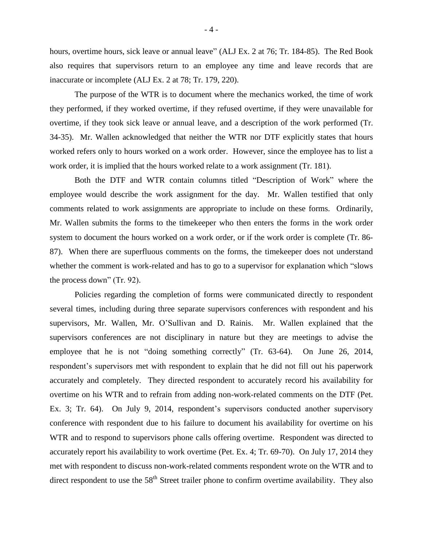hours, overtime hours, sick leave or annual leave" (ALJ Ex. 2 at 76; Tr. 184-85). The Red Book also requires that supervisors return to an employee any time and leave records that are inaccurate or incomplete (ALJ Ex. 2 at 78; Tr. 179, 220).

The purpose of the WTR is to document where the mechanics worked, the time of work they performed, if they worked overtime, if they refused overtime, if they were unavailable for overtime, if they took sick leave or annual leave, and a description of the work performed (Tr. 34-35). Mr. Wallen acknowledged that neither the WTR nor DTF explicitly states that hours worked refers only to hours worked on a work order. However, since the employee has to list a work order, it is implied that the hours worked relate to a work assignment (Tr. 181).

Both the DTF and WTR contain columns titled "Description of Work" where the employee would describe the work assignment for the day. Mr. Wallen testified that only comments related to work assignments are appropriate to include on these forms. Ordinarily, Mr. Wallen submits the forms to the timekeeper who then enters the forms in the work order system to document the hours worked on a work order, or if the work order is complete (Tr. 86- 87). When there are superfluous comments on the forms, the timekeeper does not understand whether the comment is work-related and has to go to a supervisor for explanation which "slows the process down" (Tr. 92).

Policies regarding the completion of forms were communicated directly to respondent several times, including during three separate supervisors conferences with respondent and his supervisors, Mr. Wallen, Mr. O'Sullivan and D. Rainis. Mr. Wallen explained that the supervisors conferences are not disciplinary in nature but they are meetings to advise the employee that he is not "doing something correctly" (Tr. 63-64). On June 26, 2014, respondent's supervisors met with respondent to explain that he did not fill out his paperwork accurately and completely. They directed respondent to accurately record his availability for overtime on his WTR and to refrain from adding non-work-related comments on the DTF (Pet. Ex. 3; Tr. 64). On July 9, 2014, respondent's supervisors conducted another supervisory conference with respondent due to his failure to document his availability for overtime on his WTR and to respond to supervisors phone calls offering overtime. Respondent was directed to accurately report his availability to work overtime (Pet. Ex. 4; Tr. 69-70). On July 17, 2014 they met with respondent to discuss non-work-related comments respondent wrote on the WTR and to direct respondent to use the  $58<sup>th</sup>$  Street trailer phone to confirm overtime availability. They also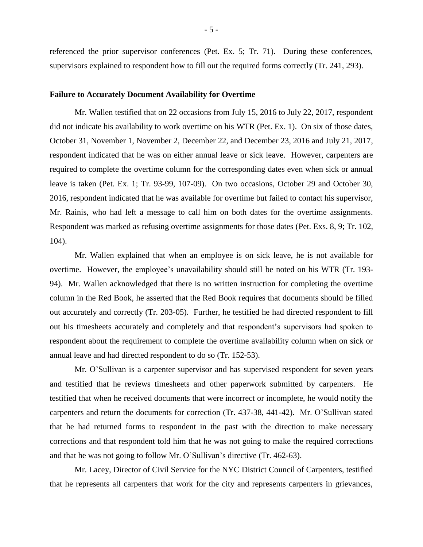referenced the prior supervisor conferences (Pet. Ex. 5; Tr. 71). During these conferences, supervisors explained to respondent how to fill out the required forms correctly (Tr. 241, 293).

## **Failure to Accurately Document Availability for Overtime**

Mr. Wallen testified that on 22 occasions from July 15, 2016 to July 22, 2017, respondent did not indicate his availability to work overtime on his WTR (Pet. Ex. 1). On six of those dates, October 31, November 1, November 2, December 22, and December 23, 2016 and July 21, 2017, respondent indicated that he was on either annual leave or sick leave. However, carpenters are required to complete the overtime column for the corresponding dates even when sick or annual leave is taken (Pet. Ex. 1; Tr. 93-99, 107-09). On two occasions, October 29 and October 30, 2016, respondent indicated that he was available for overtime but failed to contact his supervisor, Mr. Rainis, who had left a message to call him on both dates for the overtime assignments. Respondent was marked as refusing overtime assignments for those dates (Pet. Exs. 8, 9; Tr. 102, 104).

Mr. Wallen explained that when an employee is on sick leave, he is not available for overtime. However, the employee's unavailability should still be noted on his WTR (Tr. 193- 94). Mr. Wallen acknowledged that there is no written instruction for completing the overtime column in the Red Book, he asserted that the Red Book requires that documents should be filled out accurately and correctly (Tr. 203-05). Further, he testified he had directed respondent to fill out his timesheets accurately and completely and that respondent's supervisors had spoken to respondent about the requirement to complete the overtime availability column when on sick or annual leave and had directed respondent to do so (Tr. 152-53).

Mr. O'Sullivan is a carpenter supervisor and has supervised respondent for seven years and testified that he reviews timesheets and other paperwork submitted by carpenters. He testified that when he received documents that were incorrect or incomplete, he would notify the carpenters and return the documents for correction (Tr. 437-38, 441-42). Mr. O'Sullivan stated that he had returned forms to respondent in the past with the direction to make necessary corrections and that respondent told him that he was not going to make the required corrections and that he was not going to follow Mr. O'Sullivan's directive (Tr. 462-63).

Mr. Lacey, Director of Civil Service for the NYC District Council of Carpenters, testified that he represents all carpenters that work for the city and represents carpenters in grievances,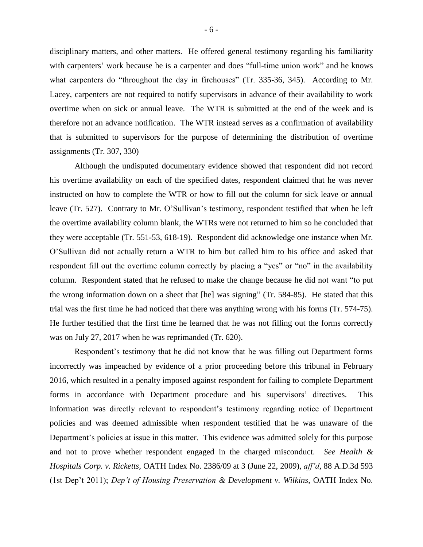disciplinary matters, and other matters. He offered general testimony regarding his familiarity with carpenters' work because he is a carpenter and does "full-time union work" and he knows what carpenters do "throughout the day in firehouses" (Tr. 335-36, 345). According to Mr. Lacey, carpenters are not required to notify supervisors in advance of their availability to work overtime when on sick or annual leave. The WTR is submitted at the end of the week and is therefore not an advance notification. The WTR instead serves as a confirmation of availability that is submitted to supervisors for the purpose of determining the distribution of overtime assignments (Tr. 307, 330)

Although the undisputed documentary evidence showed that respondent did not record his overtime availability on each of the specified dates, respondent claimed that he was never instructed on how to complete the WTR or how to fill out the column for sick leave or annual leave (Tr. 527). Contrary to Mr. O'Sullivan's testimony, respondent testified that when he left the overtime availability column blank, the WTRs were not returned to him so he concluded that they were acceptable (Tr. 551-53, 618-19). Respondent did acknowledge one instance when Mr. O'Sullivan did not actually return a WTR to him but called him to his office and asked that respondent fill out the overtime column correctly by placing a "yes" or "no" in the availability column. Respondent stated that he refused to make the change because he did not want "to put the wrong information down on a sheet that [he] was signing" (Tr. 584-85). He stated that this trial was the first time he had noticed that there was anything wrong with his forms (Tr. 574-75). He further testified that the first time he learned that he was not filling out the forms correctly was on July 27, 2017 when he was reprimanded (Tr. 620).

Respondent's testimony that he did not know that he was filling out Department forms incorrectly was impeached by evidence of a prior proceeding before this tribunal in February 2016, which resulted in a penalty imposed against respondent for failing to complete Department forms in accordance with Department procedure and his supervisors' directives. This information was directly relevant to respondent's testimony regarding notice of Department policies and was deemed admissible when respondent testified that he was unaware of the Department's policies at issue in this matter. This evidence was admitted solely for this purpose and not to prove whether respondent engaged in the charged misconduct. *See Health & Hospitals Corp. v. Ricketts,* OATH Index No. 2386/09 at 3 (June 22, 2009), *aff'd*, 88 A.D.3d 593 (1st Dep't 2011); *Dep't of Housing Preservation & Development v. Wilkins*, OATH Index No.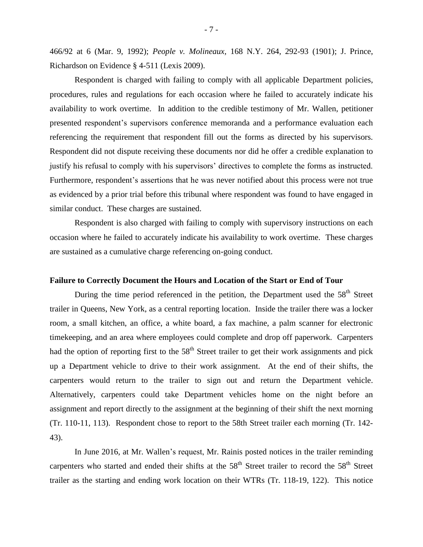466/92 at 6 (Mar. 9, 1992); *People v. Molineaux*, 168 N.Y. 264, 292-93 (1901); J. Prince, Richardson on Evidence § 4-511 (Lexis 2009).

Respondent is charged with failing to comply with all applicable Department policies, procedures, rules and regulations for each occasion where he failed to accurately indicate his availability to work overtime. In addition to the credible testimony of Mr. Wallen, petitioner presented respondent's supervisors conference memoranda and a performance evaluation each referencing the requirement that respondent fill out the forms as directed by his supervisors. Respondent did not dispute receiving these documents nor did he offer a credible explanation to justify his refusal to comply with his supervisors' directives to complete the forms as instructed. Furthermore, respondent's assertions that he was never notified about this process were not true as evidenced by a prior trial before this tribunal where respondent was found to have engaged in similar conduct. These charges are sustained.

Respondent is also charged with failing to comply with supervisory instructions on each occasion where he failed to accurately indicate his availability to work overtime. These charges are sustained as a cumulative charge referencing on-going conduct.

### **Failure to Correctly Document the Hours and Location of the Start or End of Tour**

During the time period referenced in the petition, the Department used the 58<sup>th</sup> Street trailer in Queens, New York, as a central reporting location. Inside the trailer there was a locker room, a small kitchen, an office, a white board, a fax machine, a palm scanner for electronic timekeeping, and an area where employees could complete and drop off paperwork. Carpenters had the option of reporting first to the  $58<sup>th</sup>$  Street trailer to get their work assignments and pick up a Department vehicle to drive to their work assignment. At the end of their shifts, the carpenters would return to the trailer to sign out and return the Department vehicle. Alternatively, carpenters could take Department vehicles home on the night before an assignment and report directly to the assignment at the beginning of their shift the next morning (Tr. 110-11, 113). Respondent chose to report to the 58th Street trailer each morning (Tr. 142- 43).

In June 2016, at Mr. Wallen's request, Mr. Rainis posted notices in the trailer reminding carpenters who started and ended their shifts at the  $58<sup>th</sup>$  Street trailer to record the  $58<sup>th</sup>$  Street trailer as the starting and ending work location on their WTRs (Tr. 118-19, 122). This notice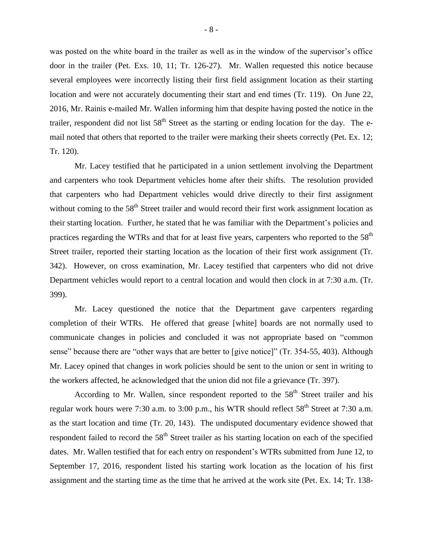was posted on the white board in the trailer as well as in the window of the supervisor's office door in the trailer (Pet. Exs. 10, 11; Tr. 126-27). Mr. Wallen requested this notice because several employees were incorrectly listing their first field assignment location as their starting location and were not accurately documenting their start and end times (Tr. 119). On June 22, 2016, Mr. Rainis e-mailed Mr. Wallen informing him that despite having posted the notice in the trailer, respondent did not list  $58<sup>th</sup>$  Street as the starting or ending location for the day. The email noted that others that reported to the trailer were marking their sheets correctly (Pet. Ex. 12; Tr. 120).

Mr. Lacey testified that he participated in a union settlement involving the Department and carpenters who took Department vehicles home after their shifts. The resolution provided that carpenters who had Department vehicles would drive directly to their first assignment without coming to the 58<sup>th</sup> Street trailer and would record their first work assignment location as their starting location. Further, he stated that he was familiar with the Department's policies and practices regarding the WTRs and that for at least five years, carpenters who reported to the  $58<sup>th</sup>$ Street trailer, reported their starting location as the location of their first work assignment (Tr. 342). However, on cross examination, Mr. Lacey testified that carpenters who did not drive Department vehicles would report to a central location and would then clock in at 7:30 a.m. (Tr. 399).

Mr. Lacey questioned the notice that the Department gave carpenters regarding completion of their WTRs. He offered that grease [white] boards are not normally used to communicate changes in policies and concluded it was not appropriate based on "common sense" because there are "other ways that are better to [give notice]" (Tr. 354-55, 403). Although Mr. Lacey opined that changes in work policies should be sent to the union or sent in writing to the workers affected, he acknowledged that the union did not file a grievance (Tr. 397).

According to Mr. Wallen, since respondent reported to the  $58<sup>th</sup>$  Street trailer and his regular work hours were 7:30 a.m. to 3:00 p.m., his WTR should reflect 58<sup>th</sup> Street at 7:30 a.m. as the start location and time (Tr. 20, 143). The undisputed documentary evidence showed that respondent failed to record the  $58<sup>th</sup>$  Street trailer as his starting location on each of the specified dates. Mr. Wallen testified that for each entry on respondent's WTRs submitted from June 12, to September 17, 2016, respondent listed his starting work location as the location of his first assignment and the starting time as the time that he arrived at the work site (Pet. Ex. 14; Tr. 138-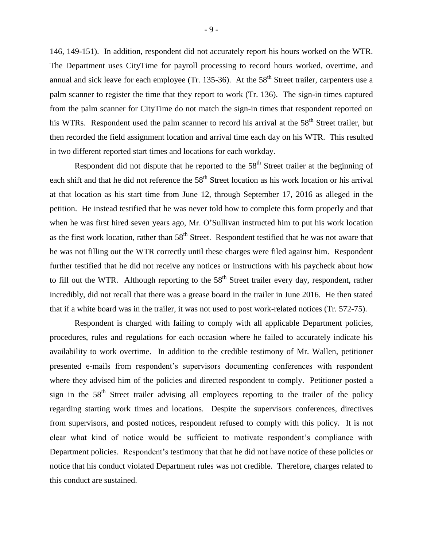146, 149-151). In addition, respondent did not accurately report his hours worked on the WTR. The Department uses CityTime for payroll processing to record hours worked, overtime, and annual and sick leave for each employee (Tr. 135-36). At the  $58<sup>th</sup>$  Street trailer, carpenters use a palm scanner to register the time that they report to work (Tr. 136). The sign-in times captured from the palm scanner for CityTime do not match the sign-in times that respondent reported on his WTRs. Respondent used the palm scanner to record his arrival at the 58<sup>th</sup> Street trailer, but then recorded the field assignment location and arrival time each day on his WTR. This resulted in two different reported start times and locations for each workday.

Respondent did not dispute that he reported to the  $58<sup>th</sup>$  Street trailer at the beginning of each shift and that he did not reference the 58<sup>th</sup> Street location as his work location or his arrival at that location as his start time from June 12, through September 17, 2016 as alleged in the petition. He instead testified that he was never told how to complete this form properly and that when he was first hired seven years ago, Mr. O'Sullivan instructed him to put his work location as the first work location, rather than 58<sup>th</sup> Street. Respondent testified that he was not aware that he was not filling out the WTR correctly until these charges were filed against him. Respondent further testified that he did not receive any notices or instructions with his paycheck about how to fill out the WTR. Although reporting to the  $58<sup>th</sup>$  Street trailer every day, respondent, rather incredibly, did not recall that there was a grease board in the trailer in June 2016. He then stated that if a white board was in the trailer, it was not used to post work-related notices (Tr. 572-75).

Respondent is charged with failing to comply with all applicable Department policies, procedures, rules and regulations for each occasion where he failed to accurately indicate his availability to work overtime. In addition to the credible testimony of Mr. Wallen, petitioner presented e-mails from respondent's supervisors documenting conferences with respondent where they advised him of the policies and directed respondent to comply. Petitioner posted a sign in the  $58<sup>th</sup>$  Street trailer advising all employees reporting to the trailer of the policy regarding starting work times and locations. Despite the supervisors conferences, directives from supervisors, and posted notices, respondent refused to comply with this policy. It is not clear what kind of notice would be sufficient to motivate respondent's compliance with Department policies. Respondent's testimony that that he did not have notice of these policies or notice that his conduct violated Department rules was not credible. Therefore, charges related to this conduct are sustained.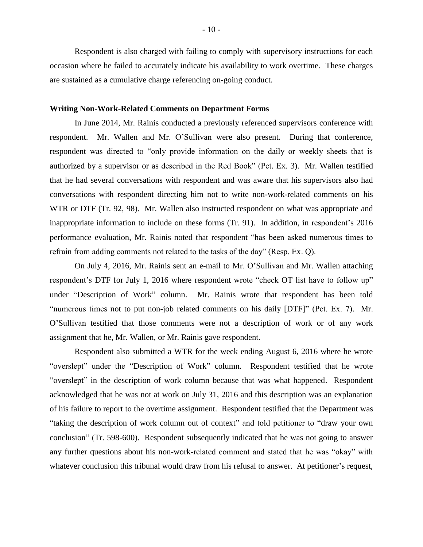Respondent is also charged with failing to comply with supervisory instructions for each occasion where he failed to accurately indicate his availability to work overtime. These charges are sustained as a cumulative charge referencing on-going conduct.

### **Writing Non-Work-Related Comments on Department Forms**

In June 2014, Mr. Rainis conducted a previously referenced supervisors conference with respondent. Mr. Wallen and Mr. O'Sullivan were also present. During that conference, respondent was directed to "only provide information on the daily or weekly sheets that is authorized by a supervisor or as described in the Red Book" (Pet. Ex. 3). Mr. Wallen testified that he had several conversations with respondent and was aware that his supervisors also had conversations with respondent directing him not to write non-work-related comments on his WTR or DTF (Tr. 92, 98). Mr. Wallen also instructed respondent on what was appropriate and inappropriate information to include on these forms (Tr. 91). In addition, in respondent's 2016 performance evaluation, Mr. Rainis noted that respondent "has been asked numerous times to refrain from adding comments not related to the tasks of the day" (Resp. Ex. Q).

On July 4, 2016, Mr. Rainis sent an e-mail to Mr. O'Sullivan and Mr. Wallen attaching respondent's DTF for July 1, 2016 where respondent wrote "check OT list have to follow up" under "Description of Work" column. Mr. Rainis wrote that respondent has been told "numerous times not to put non-job related comments on his daily [DTF]" (Pet. Ex. 7). Mr. O'Sullivan testified that those comments were not a description of work or of any work assignment that he, Mr. Wallen, or Mr. Rainis gave respondent.

Respondent also submitted a WTR for the week ending August 6, 2016 where he wrote "overslept" under the "Description of Work" column. Respondent testified that he wrote "overslept" in the description of work column because that was what happened. Respondent acknowledged that he was not at work on July 31, 2016 and this description was an explanation of his failure to report to the overtime assignment. Respondent testified that the Department was "taking the description of work column out of context" and told petitioner to "draw your own conclusion" (Tr. 598-600). Respondent subsequently indicated that he was not going to answer any further questions about his non-work-related comment and stated that he was "okay" with whatever conclusion this tribunal would draw from his refusal to answer. At petitioner's request,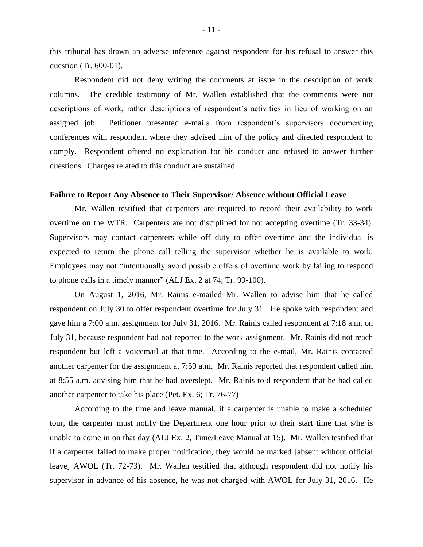this tribunal has drawn an adverse inference against respondent for his refusal to answer this question (Tr. 600-01).

Respondent did not deny writing the comments at issue in the description of work columns. The credible testimony of Mr. Wallen established that the comments were not descriptions of work, rather descriptions of respondent's activities in lieu of working on an assigned job. Petitioner presented e-mails from respondent's supervisors documenting conferences with respondent where they advised him of the policy and directed respondent to comply. Respondent offered no explanation for his conduct and refused to answer further questions. Charges related to this conduct are sustained.

### **Failure to Report Any Absence to Their Supervisor/ Absence without Official Leave**

Mr. Wallen testified that carpenters are required to record their availability to work overtime on the WTR. Carpenters are not disciplined for not accepting overtime (Tr. 33-34). Supervisors may contact carpenters while off duty to offer overtime and the individual is expected to return the phone call telling the supervisor whether he is available to work. Employees may not "intentionally avoid possible offers of overtime work by failing to respond to phone calls in a timely manner" (ALJ Ex. 2 at 74; Tr. 99-100).

On August 1, 2016, Mr. Rainis e-mailed Mr. Wallen to advise him that he called respondent on July 30 to offer respondent overtime for July 31. He spoke with respondent and gave him a 7:00 a.m. assignment for July 31, 2016. Mr. Rainis called respondent at 7:18 a.m. on July 31, because respondent had not reported to the work assignment. Mr. Rainis did not reach respondent but left a voicemail at that time. According to the e-mail, Mr. Rainis contacted another carpenter for the assignment at 7:59 a.m. Mr. Rainis reported that respondent called him at 8:55 a.m. advising him that he had overslept. Mr. Rainis told respondent that he had called another carpenter to take his place (Pet. Ex. 6; Tr. 76-77)

According to the time and leave manual, if a carpenter is unable to make a scheduled tour, the carpenter must notify the Department one hour prior to their start time that s/he is unable to come in on that day (ALJ Ex. 2, Time/Leave Manual at 15). Mr. Wallen testified that if a carpenter failed to make proper notification, they would be marked [absent without official leave] AWOL (Tr. 72-73). Mr. Wallen testified that although respondent did not notify his supervisor in advance of his absence, he was not charged with AWOL for July 31, 2016. He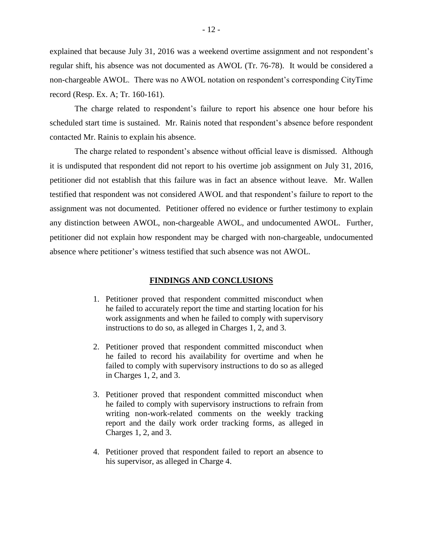explained that because July 31, 2016 was a weekend overtime assignment and not respondent's regular shift, his absence was not documented as AWOL (Tr. 76-78). It would be considered a non-chargeable AWOL. There was no AWOL notation on respondent's corresponding CityTime record (Resp. Ex. A; Tr. 160-161).

The charge related to respondent's failure to report his absence one hour before his scheduled start time is sustained. Mr. Rainis noted that respondent's absence before respondent contacted Mr. Rainis to explain his absence.

The charge related to respondent's absence without official leave is dismissed. Although it is undisputed that respondent did not report to his overtime job assignment on July 31, 2016, petitioner did not establish that this failure was in fact an absence without leave. Mr. Wallen testified that respondent was not considered AWOL and that respondent's failure to report to the assignment was not documented. Petitioner offered no evidence or further testimony to explain any distinction between AWOL, non-chargeable AWOL, and undocumented AWOL. Further, petitioner did not explain how respondent may be charged with non-chargeable, undocumented absence where petitioner's witness testified that such absence was not AWOL.

# **FINDINGS AND CONCLUSIONS**

- 1. Petitioner proved that respondent committed misconduct when he failed to accurately report the time and starting location for his work assignments and when he failed to comply with supervisory instructions to do so, as alleged in Charges 1, 2, and 3.
- 2. Petitioner proved that respondent committed misconduct when he failed to record his availability for overtime and when he failed to comply with supervisory instructions to do so as alleged in Charges 1, 2, and 3.
- 3. Petitioner proved that respondent committed misconduct when he failed to comply with supervisory instructions to refrain from writing non-work-related comments on the weekly tracking report and the daily work order tracking forms, as alleged in Charges 1, 2, and 3.
- 4. Petitioner proved that respondent failed to report an absence to his supervisor, as alleged in Charge 4.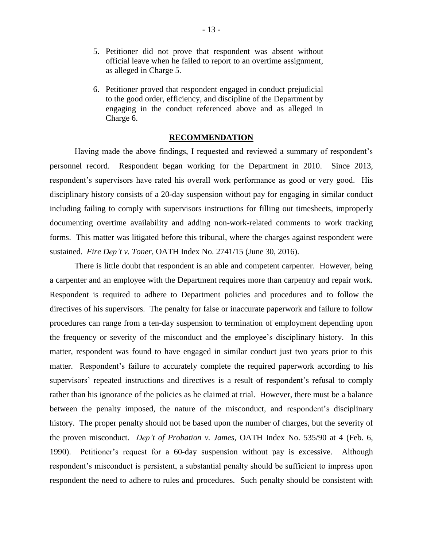- 5. Petitioner did not prove that respondent was absent without official leave when he failed to report to an overtime assignment, as alleged in Charge 5.
- 6. Petitioner proved that respondent engaged in conduct prejudicial to the good order, efficiency, and discipline of the Department by engaging in the conduct referenced above and as alleged in Charge 6.

#### **RECOMMENDATION**

Having made the above findings, I requested and reviewed a summary of respondent's personnel record. Respondent began working for the Department in 2010. Since 2013, respondent's supervisors have rated his overall work performance as good or very good. His disciplinary history consists of a 20-day suspension without pay for engaging in similar conduct including failing to comply with supervisors instructions for filling out timesheets, improperly documenting overtime availability and adding non-work-related comments to work tracking forms. This matter was litigated before this tribunal, where the charges against respondent were sustained. *Fire Dep't v. Toner*, OATH Index No. 2741/15 (June 30, 2016).

There is little doubt that respondent is an able and competent carpenter. However, being a carpenter and an employee with the Department requires more than carpentry and repair work. Respondent is required to adhere to Department policies and procedures and to follow the directives of his supervisors. The penalty for false or inaccurate paperwork and failure to follow procedures can range from a ten-day suspension to termination of employment depending upon the frequency or severity of the misconduct and the employee's disciplinary history. In this matter, respondent was found to have engaged in similar conduct just two years prior to this matter. Respondent's failure to accurately complete the required paperwork according to his supervisors' repeated instructions and directives is a result of respondent's refusal to comply rather than his ignorance of the policies as he claimed at trial. However, there must be a balance between the penalty imposed, the nature of the misconduct, and respondent's disciplinary history. The proper penalty should not be based upon the number of charges, but the severity of the proven misconduct. *Dep't of Probation v. James*, OATH Index No. 535/90 at 4 (Feb. 6, 1990). Petitioner's request for a 60-day suspension without pay is excessive. Although respondent's misconduct is persistent, a substantial penalty should be sufficient to impress upon respondent the need to adhere to rules and procedures. Such penalty should be consistent with